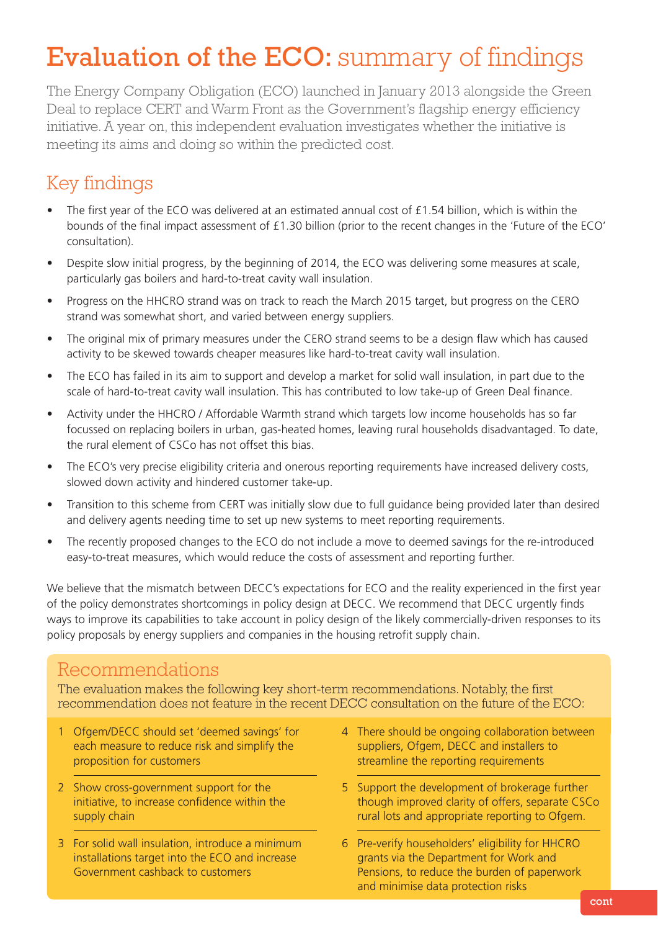# Evaluation of the ECO: summary of findings

The Energy Company Obligation (ECO) launched in January 2013 alongside the Green Deal to replace CERT and Warm Front as the Government's flagship energy efficiency initiative. A year on, this independent evaluation investigates whether the initiative is meeting its aims and doing so within the predicted cost.

# Key findings

- The first year of the ECO was delivered at an estimated annual cost of £1.54 billion, which is within the bounds of the final impact assessment of £1.30 billion (prior to the recent changes in the 'Future of the ECO' consultation).
- Despite slow initial progress, by the beginning of 2014, the ECO was delivering some measures at scale, particularly gas boilers and hard-to-treat cavity wall insulation.
- Progress on the HHCRO strand was on track to reach the March 2015 target, but progress on the CERO strand was somewhat short, and varied between energy suppliers.
- The original mix of primary measures under the CERO strand seems to be a design flaw which has caused activity to be skewed towards cheaper measures like hard-to-treat cavity wall insulation.
- The ECO has failed in its aim to support and develop a market for solid wall insulation, in part due to the scale of hard-to-treat cavity wall insulation. This has contributed to low take-up of Green Deal finance.
- Activity under the HHCRO / Affordable Warmth strand which targets low income households has so far focussed on replacing boilers in urban, gas-heated homes, leaving rural households disadvantaged. To date, the rural element of CSCo has not offset this bias.
- The ECO's very precise eligibility criteria and onerous reporting requirements have increased delivery costs, slowed down activity and hindered customer take-up.
- Transition to this scheme from CERT was initially slow due to full guidance being provided later than desired and delivery agents needing time to set up new systems to meet reporting requirements.
- The recently proposed changes to the ECO do not include a move to deemed savings for the re-introduced easy-to-treat measures, which would reduce the costs of assessment and reporting further.

We believe that the mismatch between DECC's expectations for ECO and the reality experienced in the first year of the policy demonstrates shortcomings in policy design at DECC. We recommend that DECC urgently finds ways to improve its capabilities to take account in policy design of the likely commercially-driven responses to its policy proposals by energy suppliers and companies in the housing retrofit supply chain.

### Recommendations

The evaluation makes the following key short-term recommendations. Notably, the first recommendation does not feature in the recent DECC consultation on the future of the ECO:

- 1 Ofgem/DECC should set 'deemed savings' for each measure to reduce risk and simplify the proposition for customers
- 2 Show cross-government support for the initiative, to increase confidence within the supply chain
- 3 For solid wall insulation, introduce a minimum installations target into the ECO and increase Government cashback to customers
- 4 There should be ongoing collaboration between suppliers, Ofgem, DECC and installers to streamline the reporting requirements
- 5 Support the development of brokerage further though improved clarity of offers, separate CSCo rural lots and appropriate reporting to Ofgem.
- 6 Pre-verify householders' eligibility for HHCRO grants via the Department for Work and Pensions, to reduce the burden of paperwork and minimise data protection risks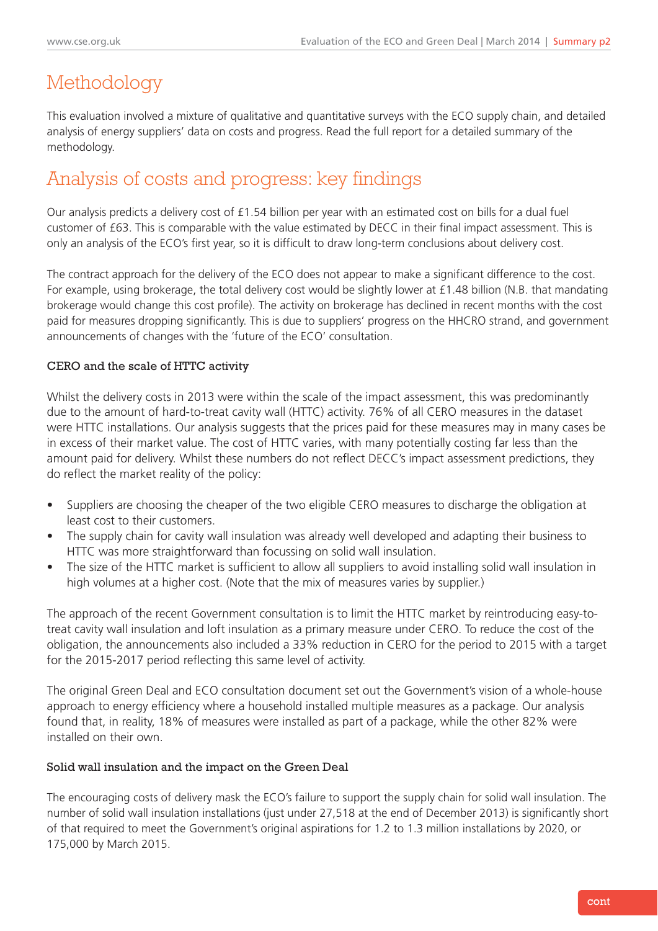# Methodology

This evaluation involved a mixture of qualitative and quantitative surveys with the ECO supply chain, and detailed analysis of energy suppliers' data on costs and progress. Read the full report for a detailed summary of the methodology.

# Analysis of costs and progress: key findings

Our analysis predicts a delivery cost of £1.54 billion per year with an estimated cost on bills for a dual fuel customer of £63. This is comparable with the value estimated by DECC in their final impact assessment. This is only an analysis of the ECO's first year, so it is difficult to draw long-term conclusions about delivery cost.

The contract approach for the delivery of the ECO does not appear to make a significant difference to the cost. For example, using brokerage, the total delivery cost would be slightly lower at £1.48 billion (N.B. that mandating brokerage would change this cost profile). The activity on brokerage has declined in recent months with the cost paid for measures dropping significantly. This is due to suppliers' progress on the HHCRO strand, and government announcements of changes with the 'future of the ECO' consultation.

### CERO and the scale of HTTC activity

Whilst the delivery costs in 2013 were within the scale of the impact assessment, this was predominantly due to the amount of hard-to-treat cavity wall (HTTC) activity. 76% of all CERO measures in the dataset were HTTC installations. Our analysis suggests that the prices paid for these measures may in many cases be in excess of their market value. The cost of HTTC varies, with many potentially costing far less than the amount paid for delivery. Whilst these numbers do not reflect DECC's impact assessment predictions, they do reflect the market reality of the policy:

- Suppliers are choosing the cheaper of the two eligible CERO measures to discharge the obligation at least cost to their customers.
- The supply chain for cavity wall insulation was already well developed and adapting their business to HTTC was more straightforward than focussing on solid wall insulation.
- The size of the HTTC market is sufficient to allow all suppliers to avoid installing solid wall insulation in high volumes at a higher cost. (Note that the mix of measures varies by supplier.)

The approach of the recent Government consultation is to limit the HTTC market by reintroducing easy-totreat cavity wall insulation and loft insulation as a primary measure under CERO. To reduce the cost of the obligation, the announcements also included a 33% reduction in CERO for the period to 2015 with a target for the 2015-2017 period reflecting this same level of activity.

The original Green Deal and ECO consultation document set out the Government's vision of a whole-house approach to energy efficiency where a household installed multiple measures as a package. Our analysis found that, in reality, 18% of measures were installed as part of a package, while the other 82% were installed on their own.

### Solid wall insulation and the impact on the Green Deal

The encouraging costs of delivery mask the ECO's failure to support the supply chain for solid wall insulation. The number of solid wall insulation installations (just under 27,518 at the end of December 2013) is significantly short of that required to meet the Government's original aspirations for 1.2 to 1.3 million installations by 2020, or 175,000 by March 2015.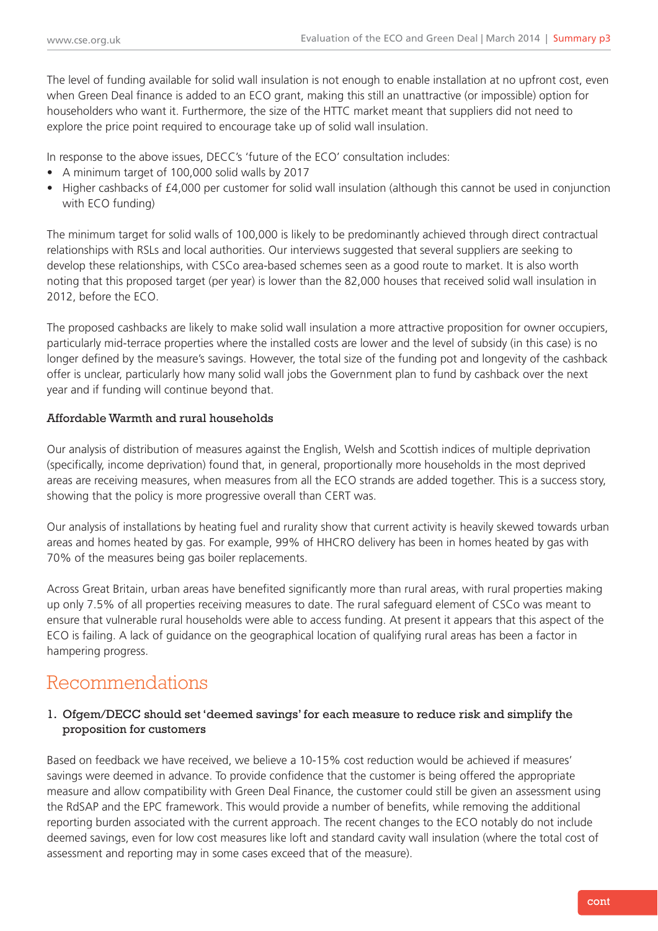The level of funding available for solid wall insulation is not enough to enable installation at no upfront cost, even when Green Deal finance is added to an ECO grant, making this still an unattractive (or impossible) option for householders who want it. Furthermore, the size of the HTTC market meant that suppliers did not need to explore the price point required to encourage take up of solid wall insulation.

In response to the above issues, DECC's 'future of the ECO' consultation includes:

- A minimum target of 100,000 solid walls by 2017
- Higher cashbacks of £4,000 per customer for solid wall insulation (although this cannot be used in conjunction with ECO funding)

The minimum target for solid walls of 100,000 is likely to be predominantly achieved through direct contractual relationships with RSLs and local authorities. Our interviews suggested that several suppliers are seeking to develop these relationships, with CSCo area-based schemes seen as a good route to market. It is also worth noting that this proposed target (per year) is lower than the 82,000 houses that received solid wall insulation in 2012, before the ECO.

The proposed cashbacks are likely to make solid wall insulation a more attractive proposition for owner occupiers, particularly mid-terrace properties where the installed costs are lower and the level of subsidy (in this case) is no longer defined by the measure's savings. However, the total size of the funding pot and longevity of the cashback offer is unclear, particularly how many solid wall jobs the Government plan to fund by cashback over the next year and if funding will continue beyond that.

### Affordable Warmth and rural households

Our analysis of distribution of measures against the English, Welsh and Scottish indices of multiple deprivation (specifically, income deprivation) found that, in general, proportionally more households in the most deprived areas are receiving measures, when measures from all the ECO strands are added together. This is a success story, showing that the policy is more progressive overall than CERT was.

Our analysis of installations by heating fuel and rurality show that current activity is heavily skewed towards urban areas and homes heated by gas. For example, 99% of HHCRO delivery has been in homes heated by gas with 70% of the measures being gas boiler replacements.

Across Great Britain, urban areas have benefited significantly more than rural areas, with rural properties making up only 7.5% of all properties receiving measures to date. The rural safeguard element of CSCo was meant to ensure that vulnerable rural households were able to access funding. At present it appears that this aspect of the ECO is failing. A lack of guidance on the geographical location of qualifying rural areas has been a factor in hampering progress.

### Recommendations

### 1. Ofgem/DECC should set 'deemed savings' for each measure to reduce risk and simplify the proposition for customers

Based on feedback we have received, we believe a 10-15% cost reduction would be achieved if measures' savings were deemed in advance. To provide confidence that the customer is being offered the appropriate measure and allow compatibility with Green Deal Finance, the customer could still be given an assessment using the RdSAP and the EPC framework. This would provide a number of benefits, while removing the additional reporting burden associated with the current approach. The recent changes to the ECO notably do not include deemed savings, even for low cost measures like loft and standard cavity wall insulation (where the total cost of assessment and reporting may in some cases exceed that of the measure).